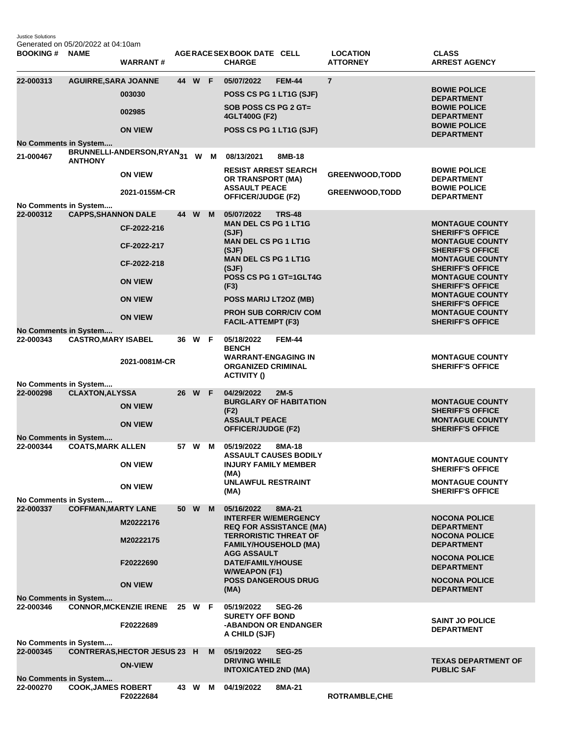Justice Solutions Generated on 05/20/2022 at 04:10am

| <b>BOOKING#</b>                    | <b>NAME</b>                 | <b>WARRANT#</b>                                       |        |     | AGERACE SEX BOOK DATE CELL<br><b>CHARGE</b>                              |               | <b>LOCATION</b><br><b>ATTORNEY</b> | <b>CLASS</b><br><b>ARREST AGENCY</b>                                         |
|------------------------------------|-----------------------------|-------------------------------------------------------|--------|-----|--------------------------------------------------------------------------|---------------|------------------------------------|------------------------------------------------------------------------------|
| 22-000313                          | <b>AGUIRRE, SARA JOANNE</b> | 003030<br>002985                                      | 44 W F |     | 05/07/2022<br>POSS CS PG 1 LT1G (SJF)<br>SOB POSS CS PG 2 GT=            | <b>FEM-44</b> | $\overline{7}$                     | <b>BOWIE POLICE</b><br><b>DEPARTMENT</b><br><b>BOWIE POLICE</b>              |
|                                    |                             | <b>ON VIEW</b>                                        |        |     | 4GLT400G (F2)<br>POSS CS PG 1 LT1G (SJF)                                 |               |                                    | <b>DEPARTMENT</b><br><b>BOWIE POLICE</b><br><b>DEPARTMENT</b>                |
| No Comments in System              |                             |                                                       |        |     |                                                                          |               |                                    |                                                                              |
| 21-000467                          | <b>ANTHONY</b>              | BRUNNELLI-ANDERSON,RYAN <sub>31</sub>                 |        | W M | 08/13/2021                                                               | 8MB-18        |                                    |                                                                              |
|                                    |                             | <b>ON VIEW</b>                                        |        |     | <b>RESIST ARREST SEARCH</b><br>OR TRANSPORT (MA)<br><b>ASSAULT PEACE</b> |               | <b>GREENWOOD, TODD</b>             | <b>BOWIE POLICE</b><br><b>DEPARTMENT</b><br><b>BOWIE POLICE</b>              |
|                                    |                             | 2021-0155M-CR                                         |        |     | <b>OFFICER/JUDGE (F2)</b>                                                |               | <b>GREENWOOD, TODD</b>             | <b>DEPARTMENT</b>                                                            |
| No Comments in System<br>22-000312 |                             |                                                       | 44 W   | M   |                                                                          | <b>TRS-48</b> |                                    |                                                                              |
|                                    | <b>CAPPS, SHANNON DALE</b>  |                                                       |        |     | 05/07/2022<br><b>MAN DEL CS PG 1 LT1G</b>                                |               |                                    | <b>MONTAGUE COUNTY</b>                                                       |
|                                    |                             | CF-2022-216<br>CF-2022-217                            |        |     | (SJF)<br><b>MAN DEL CS PG 1 LT1G</b>                                     |               |                                    | <b>SHERIFF'S OFFICE</b><br><b>MONTAGUE COUNTY</b>                            |
|                                    |                             | CF-2022-218                                           |        |     | (SJF)<br><b>MAN DEL CS PG 1 LT1G</b><br>(SJF)                            |               |                                    | <b>SHERIFF'S OFFICE</b><br><b>MONTAGUE COUNTY</b><br><b>SHERIFF'S OFFICE</b> |
|                                    |                             | <b>ON VIEW</b>                                        |        |     | POSS CS PG 1 GT=1GLT4G<br>(F3)                                           |               |                                    | <b>MONTAGUE COUNTY</b><br><b>SHERIFF'S OFFICE</b>                            |
|                                    |                             | <b>ON VIEW</b>                                        |        |     | POSS MARIJ LT2OZ (MB)                                                    |               |                                    | <b>MONTAGUE COUNTY</b><br><b>SHERIFF'S OFFICE</b>                            |
|                                    |                             | <b>ON VIEW</b>                                        |        |     | <b>PROH SUB CORR/CIV COM</b><br><b>FACIL-ATTEMPT (F3)</b>                |               |                                    | <b>MONTAGUE COUNTY</b><br><b>SHERIFF'S OFFICE</b>                            |
| No Comments in System<br>22-000343 | <b>CASTRO, MARY ISABEL</b>  |                                                       | 36 W F |     | 05/18/2022                                                               | <b>FEM-44</b> |                                    |                                                                              |
|                                    |                             | 2021-0081M-CR                                         |        |     | <b>BENCH</b><br><b>WARRANT-ENGAGING IN</b><br><b>ORGANIZED CRIMINAL</b>  |               |                                    | <b>MONTAGUE COUNTY</b><br><b>SHERIFF'S OFFICE</b>                            |
|                                    |                             |                                                       |        |     | <b>ACTIVITY ()</b>                                                       |               |                                    |                                                                              |
| No Comments in System<br>22-000298 | <b>CLAXTON, ALYSSA</b>      |                                                       | 26 W F |     | 04/29/2022                                                               | $2M-5$        |                                    |                                                                              |
|                                    |                             | <b>ON VIEW</b>                                        |        |     | <b>BURGLARY OF HABITATION</b><br>(F2)                                    |               |                                    | <b>MONTAGUE COUNTY</b><br><b>SHERIFF'S OFFICE</b>                            |
|                                    |                             | <b>ON VIEW</b>                                        |        |     | <b>ASSAULT PEACE</b><br><b>OFFICER/JUDGE (F2)</b>                        |               |                                    | <b>MONTAGUE COUNTY</b><br><b>SHERIFF'S OFFICE</b>                            |
| No Comments in System<br>22-000344 | <b>COATS, MARK ALLEN</b>    |                                                       | 57 W   | M   | 05/19/2022                                                               | 8MA-18        |                                    |                                                                              |
|                                    |                             | <b>ON VIEW</b>                                        |        |     | <b>ASSAULT CAUSES BODILY</b><br><b>INJURY FAMILY MEMBER</b>              |               |                                    | <b>MONTAGUE COUNTY</b><br><b>SHERIFF'S OFFICE</b>                            |
|                                    |                             | <b>ON VIEW</b>                                        |        |     | (MA)<br><b>UNLAWFUL RESTRAINT</b><br>(MA)                                |               |                                    | <b>MONTAGUE COUNTY</b><br><b>SHERIFF'S OFFICE</b>                            |
| No Comments in System              |                             |                                                       |        |     |                                                                          |               |                                    |                                                                              |
| 22-000337                          | <b>COFFMAN, MARTY LANE</b>  |                                                       | 50 W   | M   | 05/16/2022<br><b>INTERFER W/EMERGENCY</b>                                | 8MA-21        |                                    | <b>NOCONA POLICE</b>                                                         |
|                                    |                             | M20222176<br>M20222175                                |        |     | <b>REQ FOR ASSISTANCE (MA)</b><br><b>TERRORISTIC THREAT OF</b>           |               |                                    | <b>DEPARTMENT</b><br><b>NOCONA POLICE</b>                                    |
|                                    |                             |                                                       |        |     | <b>FAMILY/HOUSEHOLD (MA)</b><br><b>AGG ASSAULT</b>                       |               |                                    | <b>DEPARTMENT</b><br><b>NOCONA POLICE</b>                                    |
|                                    |                             | F20222690                                             |        |     | DATE/FAMILY/HOUSE<br><b>W/WEAPON (F1)</b><br><b>POSS DANGEROUS DRUG</b>  |               |                                    | <b>DEPARTMENT</b><br><b>NOCONA POLICE</b>                                    |
| <b>No Comments in System</b>       |                             | <b>ON VIEW</b>                                        |        |     | (MA)                                                                     |               |                                    | <b>DEPARTMENT</b>                                                            |
| 22-000346                          |                             | CONNOR, MCKENZIE IRENE 25 W F                         |        |     | 05/19/2022                                                               | <b>SEG-26</b> |                                    |                                                                              |
|                                    |                             | F20222689                                             |        |     | <b>SURETY OFF BOND</b><br>-ABANDON OR ENDANGER<br>A CHILD (SJF)          |               |                                    | <b>SAINT JO POLICE</b><br><b>DEPARTMENT</b>                                  |
| No Comments in System              |                             |                                                       |        |     |                                                                          |               |                                    |                                                                              |
| 22-000345                          |                             | <b>CONTRERAS, HECTOR JESUS 23 H</b><br><b>ON-VIEW</b> |        | M   | 05/19/2022<br><b>DRIVING WHILE</b><br><b>INTOXICATED 2ND (MA)</b>        | <b>SEG-25</b> |                                    | <b>TEXAS DEPARTMENT OF</b><br><b>PUBLIC SAF</b>                              |
| No Comments in System              |                             |                                                       |        |     |                                                                          |               |                                    |                                                                              |
| 22-000270                          | <b>COOK, JAMES ROBERT</b>   | F20222684                                             | 43 W M |     | 04/19/2022                                                               | 8MA-21        | <b>ROTRAMBLE, CHE</b>              |                                                                              |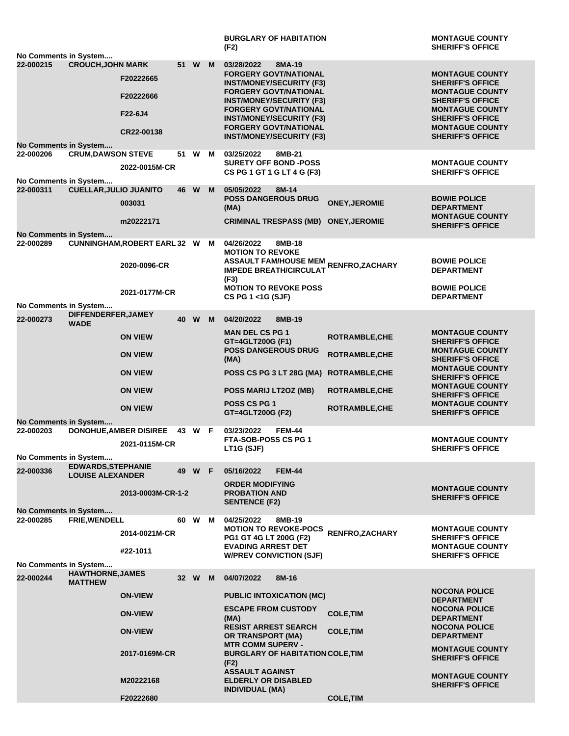|                                    |                                                      |                                                                 |        |          |   | <b>BURGLARY OF HABITATION</b><br>(F2)                                                                                                                                                                                                                                                            |                                              | <b>MONTAGUE COUNTY</b><br><b>SHERIFF'S OFFICE</b>                                                                                                                                                                |
|------------------------------------|------------------------------------------------------|-----------------------------------------------------------------|--------|----------|---|--------------------------------------------------------------------------------------------------------------------------------------------------------------------------------------------------------------------------------------------------------------------------------------------------|----------------------------------------------|------------------------------------------------------------------------------------------------------------------------------------------------------------------------------------------------------------------|
| No Comments in System              |                                                      |                                                                 |        |          |   |                                                                                                                                                                                                                                                                                                  |                                              |                                                                                                                                                                                                                  |
| 22-000215                          | <b>CROUCH, JOHN MARK</b>                             | F20222665<br>F20222666<br>F22-6J4<br>CR22-00138                 |        | 51 W M   |   | 03/28/2022<br>8MA-19<br><b>FORGERY GOVT/NATIONAL</b><br><b>INST/MONEY/SECURITY (F3)</b><br><b>FORGERY GOVT/NATIONAL</b><br><b>INST/MONEY/SECURITY (F3)</b><br><b>FORGERY GOVT/NATIONAL</b><br><b>INST/MONEY/SECURITY (F3)</b><br><b>FORGERY GOVT/NATIONAL</b><br><b>INST/MONEY/SECURITY (F3)</b> |                                              | <b>MONTAGUE COUNTY</b><br><b>SHERIFF'S OFFICE</b><br><b>MONTAGUE COUNTY</b><br><b>SHERIFF'S OFFICE</b><br><b>MONTAGUE COUNTY</b><br><b>SHERIFF'S OFFICE</b><br><b>MONTAGUE COUNTY</b><br><b>SHERIFF'S OFFICE</b> |
| No Comments in System              |                                                      |                                                                 |        |          |   |                                                                                                                                                                                                                                                                                                  |                                              |                                                                                                                                                                                                                  |
| 22-000206                          | <b>CRUM, DAWSON STEVE</b>                            | 2022-0015M-CR                                                   |        | 51 W M   |   | 03/25/2022<br>8MB-21<br><b>SURETY OFF BOND -POSS</b><br>CS PG 1 GT 1 G LT 4 G (F3)                                                                                                                                                                                                               |                                              | <b>MONTAGUE COUNTY</b><br><b>SHERIFF'S OFFICE</b>                                                                                                                                                                |
| No Comments in System<br>22-000311 | <b>CUELLAR, JULIO JUANITO</b>                        | 003031<br>m20222171                                             | 46     | <b>W</b> | M | 05/05/2022<br>8M-14<br><b>POSS DANGEROUS DRUG</b><br>(MA)<br><b>CRIMINAL TRESPASS (MB)</b>                                                                                                                                                                                                       | <b>ONEY, JEROMIE</b><br><b>ONEY, JEROMIE</b> | <b>BOWIE POLICE</b><br><b>DEPARTMENT</b><br><b>MONTAGUE COUNTY</b><br><b>SHERIFF'S OFFICE</b>                                                                                                                    |
| No Comments in System              |                                                      |                                                                 |        |          |   |                                                                                                                                                                                                                                                                                                  |                                              |                                                                                                                                                                                                                  |
| 22-000289                          |                                                      | CUNNINGHAM, ROBERT EARL 32 W M<br>2020-0096-CR<br>2021-0177M-CR |        |          |   | 04/26/2022<br>8MB-18<br><b>MOTION TO REVOKE</b><br>ASSAULT FAM/HOUSE MEM<br>ASSAULT FAM/HOUSE MEM RENFRO,ZACHARY<br><b>IMPEDE BREATH/CIRCULAT</b><br>(F3)<br><b>MOTION TO REVOKE POSS</b>                                                                                                        |                                              | <b>BOWIE POLICE</b><br><b>DEPARTMENT</b><br><b>BOWIE POLICE</b>                                                                                                                                                  |
| No Comments in System              |                                                      |                                                                 |        |          |   | CS PG 1 <1G (SJF)                                                                                                                                                                                                                                                                                |                                              | <b>DEPARTMENT</b>                                                                                                                                                                                                |
| 22-000273                          | DIFFENDERFER, JAMEY<br><b>WADE</b>                   |                                                                 | 40     | W M      |   | 04/20/2022<br>8MB-19                                                                                                                                                                                                                                                                             |                                              |                                                                                                                                                                                                                  |
|                                    |                                                      | <b>ON VIEW</b>                                                  |        |          |   | <b>MAN DEL CS PG 1</b><br>GT=4GLT200G (F1)                                                                                                                                                                                                                                                       | <b>ROTRAMBLE, CHE</b>                        | <b>MONTAGUE COUNTY</b><br><b>SHERIFF'S OFFICE</b>                                                                                                                                                                |
|                                    |                                                      | <b>ON VIEW</b>                                                  |        |          |   | <b>POSS DANGEROUS DRUG</b><br>(MA)                                                                                                                                                                                                                                                               | <b>ROTRAMBLE, CHE</b>                        | <b>MONTAGUE COUNTY</b><br><b>SHERIFF'S OFFICE</b>                                                                                                                                                                |
|                                    |                                                      | <b>ON VIEW</b>                                                  |        |          |   | POSS CS PG 3 LT 28G (MA)                                                                                                                                                                                                                                                                         | <b>ROTRAMBLE, CHE</b>                        | <b>MONTAGUE COUNTY</b><br><b>SHERIFF'S OFFICE</b>                                                                                                                                                                |
|                                    |                                                      | <b>ON VIEW</b>                                                  |        |          |   | POSS MARIJ LT2OZ (MB)                                                                                                                                                                                                                                                                            | <b>ROTRAMBLE, CHE</b>                        | <b>MONTAGUE COUNTY</b><br><b>SHERIFF'S OFFICE</b>                                                                                                                                                                |
|                                    |                                                      | <b>ON VIEW</b>                                                  |        |          |   | <b>POSS CS PG 1</b><br>GT=4GLT200G (F2)                                                                                                                                                                                                                                                          | <b>ROTRAMBLE, CHE</b>                        | <b>MONTAGUE COUNTY</b><br><b>SHERIFF'S OFFICE</b>                                                                                                                                                                |
| No Comments in System<br>22-000203 |                                                      | <b>DONOHUE, AMBER DISIREE</b>                                   | 43 W F |          |   | 03/23/2022<br><b>FEM-44</b>                                                                                                                                                                                                                                                                      |                                              |                                                                                                                                                                                                                  |
|                                    |                                                      | 2021-0115M-CR                                                   |        |          |   | <b>FTA-SOB-POSS CS PG 1</b><br>LT1G (SJF)                                                                                                                                                                                                                                                        |                                              | <b>MONTAGUE COUNTY</b><br><b>SHERIFF'S OFFICE</b>                                                                                                                                                                |
| No Comments in System              |                                                      |                                                                 |        |          |   |                                                                                                                                                                                                                                                                                                  |                                              |                                                                                                                                                                                                                  |
| 22-000336                          | <b>EDWARDS, STEPHANIE</b><br><b>LOUISE ALEXANDER</b> |                                                                 |        | 49 W F   |   | <b>FEM-44</b><br>05/16/2022<br><b>ORDER MODIFYING</b>                                                                                                                                                                                                                                            |                                              |                                                                                                                                                                                                                  |
|                                    |                                                      | 2013-0003M-CR-1-2                                               |        |          |   | <b>PROBATION AND</b><br><b>SENTENCE (F2)</b>                                                                                                                                                                                                                                                     |                                              | <b>MONTAGUE COUNTY</b><br><b>SHERIFF'S OFFICE</b>                                                                                                                                                                |
| No Comments in System<br>22-000285 | FRIE, WENDELL                                        |                                                                 | 60 W   |          | M | 04/25/2022<br>8MB-19                                                                                                                                                                                                                                                                             |                                              |                                                                                                                                                                                                                  |
|                                    |                                                      | 2014-0021M-CR                                                   |        |          |   | <b>MOTION TO REVOKE-POCS</b><br>PG1 GT 4G LT 200G (F2)                                                                                                                                                                                                                                           | RENFRO, ZACHARY                              | <b>MONTAGUE COUNTY</b><br><b>SHERIFF'S OFFICE</b>                                                                                                                                                                |
|                                    |                                                      | #22-1011                                                        |        |          |   | <b>EVADING ARREST DET</b><br><b>W/PREV CONVICTION (SJF)</b>                                                                                                                                                                                                                                      |                                              | <b>MONTAGUE COUNTY</b><br><b>SHERIFF'S OFFICE</b>                                                                                                                                                                |
| No Comments in System              | <b>HAWTHORNE, JAMES</b>                              |                                                                 |        |          |   |                                                                                                                                                                                                                                                                                                  |                                              |                                                                                                                                                                                                                  |
| 22-000244                          | <b>MATTHEW</b>                                       |                                                                 |        | 32 W M   |   | 04/07/2022<br>8M-16                                                                                                                                                                                                                                                                              |                                              | <b>NOCONA POLICE</b>                                                                                                                                                                                             |
|                                    |                                                      | <b>ON-VIEW</b>                                                  |        |          |   | <b>PUBLIC INTOXICATION (MC)</b><br><b>ESCAPE FROM CUSTODY</b>                                                                                                                                                                                                                                    |                                              | <b>DEPARTMENT</b><br><b>NOCONA POLICE</b>                                                                                                                                                                        |
|                                    |                                                      | <b>ON-VIEW</b>                                                  |        |          |   | (MA)<br><b>RESIST ARREST SEARCH</b>                                                                                                                                                                                                                                                              | <b>COLE, TIM</b>                             | <b>DEPARTMENT</b><br><b>NOCONA POLICE</b>                                                                                                                                                                        |
|                                    |                                                      | <b>ON-VIEW</b>                                                  |        |          |   | <b>OR TRANSPORT (MA)</b><br><b>MTR COMM SUPERV -</b>                                                                                                                                                                                                                                             | <b>COLE, TIM</b>                             | <b>DEPARTMENT</b>                                                                                                                                                                                                |
|                                    |                                                      | 2017-0169M-CR                                                   |        |          |   | <b>BURGLARY OF HABITATION COLE,TIM</b><br>(F2)                                                                                                                                                                                                                                                   |                                              | <b>MONTAGUE COUNTY</b><br><b>SHERIFF'S OFFICE</b>                                                                                                                                                                |
|                                    |                                                      | M20222168                                                       |        |          |   | <b>ASSAULT AGAINST</b><br><b>ELDERLY OR DISABLED</b><br><b>INDIVIDUAL (MA)</b>                                                                                                                                                                                                                   |                                              | <b>MONTAGUE COUNTY</b><br><b>SHERIFF'S OFFICE</b>                                                                                                                                                                |
|                                    |                                                      | F20222680                                                       |        |          |   |                                                                                                                                                                                                                                                                                                  | <b>COLE, TIM</b>                             |                                                                                                                                                                                                                  |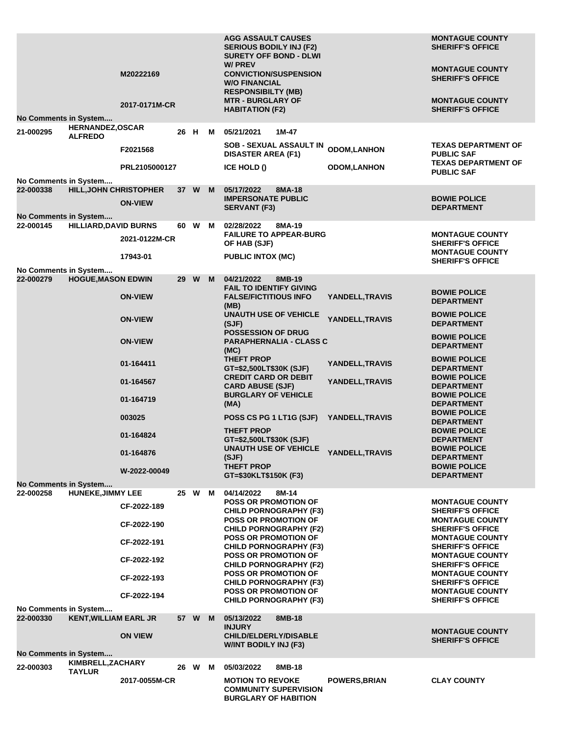| 22-000303                          | KIMBRELL, ZACHARY<br><b>TAYLUR</b>        | 2017-0055M-CR              |      | 26 W   | M | 05/03/2022<br>8MB-18<br><b>MOTION TO REVOKE</b><br><b>COMMUNITY SUPERVISION</b><br><b>BURGLARY OF HABITION</b> | <b>POWERS, BRIAN</b> | <b>CLAY COUNTY</b>                                                            |
|------------------------------------|-------------------------------------------|----------------------------|------|--------|---|----------------------------------------------------------------------------------------------------------------|----------------------|-------------------------------------------------------------------------------|
| No Comments in System              |                                           | <b>ON VIEW</b>             |      |        |   | <b>INJURY</b><br><b>CHILD/ELDERLY/DISABLE</b><br>W/INT BODILY INJ (F3)                                         |                      | <b>MONTAGUE COUNTY</b><br><b>SHERIFF'S OFFICE</b>                             |
| No Comments in System<br>22-000330 | <b>KENT, WILLIAM EARL JR</b>              |                            |      | 57 W   | M | 05/13/2022<br>8MB-18                                                                                           |                      |                                                                               |
|                                    |                                           | CF-2022-193<br>CF-2022-194 |      |        |   | <b>CHILD PORNOGRAPHY (F3)</b><br><b>POSS OR PROMOTION OF</b><br><b>CHILD PORNOGRAPHY (F3)</b>                  |                      | <b>SHERIFF'S OFFICE</b><br><b>MONTAGUE COUNTY</b><br><b>SHERIFF'S OFFICE</b>  |
|                                    |                                           | CF-2022-192                |      |        |   | <b>CHILD PORNOGRAPHY (F2)</b><br><b>POSS OR PROMOTION OF</b>                                                   |                      | <b>SHERIFF'S OFFICE</b><br><b>MONTAGUE COUNTY</b>                             |
|                                    |                                           | CF-2022-191                |      |        |   | <b>POSS OR PROMOTION OF</b><br><b>CHILD PORNOGRAPHY (F3)</b><br><b>POSS OR PROMOTION OF</b>                    |                      | <b>MONTAGUE COUNTY</b><br><b>SHERIFF'S OFFICE</b><br><b>MONTAGUE COUNTY</b>   |
|                                    |                                           | CF-2022-190                |      |        |   | <b>POSS OR PROMOTION OF</b><br><b>CHILD PORNOGRAPHY (F2)</b>                                                   |                      | <b>MONTAGUE COUNTY</b><br><b>SHERIFF'S OFFICE</b>                             |
|                                    |                                           | CF-2022-189                |      |        |   | <b>POSS OR PROMOTION OF</b><br><b>CHILD PORNOGRAPHY (F3)</b>                                                   |                      | <b>MONTAGUE COUNTY</b><br><b>SHERIFF'S OFFICE</b>                             |
| No Comments in System<br>22-000258 | <b>HUNEKE, JIMMY LEE</b>                  |                            |      | 25 W M |   | 04/14/2022<br>8M-14                                                                                            |                      |                                                                               |
|                                    |                                           | W-2022-00049               |      |        |   | <b>THEFT PROP</b><br>GT=\$30KLT\$150K (F3)                                                                     |                      | <b>BOWIE POLICE</b><br><b>DEPARTMENT</b>                                      |
|                                    |                                           | 01-164876                  |      |        |   | <b>UNAUTH USE OF VEHICLE</b><br>(SJF)                                                                          | YANDELL, TRAVIS      | <b>BOWIE POLICE</b><br><b>DEPARTMENT</b>                                      |
|                                    |                                           | 01-164824                  |      |        |   | <b>THEFT PROP</b><br>GT=\$2,500LT\$30K (SJF)                                                                   |                      | <b>BOWIE POLICE</b><br><b>DEPARTMENT</b>                                      |
|                                    |                                           | 003025                     |      |        |   | POSS CS PG 1 LT1G (SJF)                                                                                        | YANDELL, TRAVIS      | <b>BOWIE POLICE</b><br><b>DEPARTMENT</b>                                      |
|                                    |                                           | 01-164719                  |      |        |   | <b>BURGLARY OF VEHICLE</b><br>(MA)                                                                             |                      | <b>BOWIE POLICE</b><br><b>DEPARTMENT</b>                                      |
|                                    |                                           | 01-164567                  |      |        |   | <b>CREDIT CARD OR DEBIT</b><br><b>CARD ABUSE (SJF)</b>                                                         | YANDELL, TRAVIS      | <b>BOWIE POLICE</b><br><b>DEPARTMENT</b>                                      |
|                                    |                                           | 01-164411                  |      |        |   | (MC)<br><b>THEFT PROP</b><br>GT=\$2,500LT\$30K (SJF)                                                           | YANDELL, TRAVIS      | <b>BOWIE POLICE</b><br><b>DEPARTMENT</b>                                      |
|                                    |                                           | <b>ON-VIEW</b>             |      |        |   | <b>POSSESSION OF DRUG</b><br><b>PARAPHERNALIA - CLASS C</b>                                                    |                      | <b>BOWIE POLICE</b><br><b>DEPARTMENT</b>                                      |
|                                    |                                           | <b>ON-VIEW</b>             |      |        |   | <b>UNAUTH USE OF VEHICLE</b><br>(SJF)                                                                          | YANDELL, TRAVIS      | <b>BOWIE POLICE</b><br><b>DEPARTMENT</b>                                      |
|                                    |                                           | <b>ON-VIEW</b>             |      |        |   | <b>FAIL TO IDENTIFY GIVING</b><br><b>FALSE/FICTITIOUS INFO</b><br>(MB)                                         | YANDELL, TRAVIS      | <b>BOWIE POLICE</b><br><b>DEPARTMENT</b>                                      |
| No Comments in System<br>22-000279 | <b>HOGUE, MASON EDWIN</b>                 |                            |      | 29 W   | M | 04/21/2022<br>8MB-19                                                                                           |                      |                                                                               |
|                                    |                                           | 17943-01                   |      |        |   | <b>PUBLIC INTOX (MC)</b>                                                                                       |                      | <b>MONTAGUE COUNTY</b><br><b>SHERIFF'S OFFICE</b>                             |
| 22-000145                          | <b>HILLIARD, DAVID BURNS</b>              | 2021-0122M-CR              |      | 60 W M |   | 02/28/2022<br>8MA-19<br><b>FAILURE TO APPEAR-BURG</b><br>OF HAB (SJF)                                          |                      | <b>MONTAGUE COUNTY</b><br><b>SHERIFF'S OFFICE</b>                             |
| No Comments in System              |                                           |                            |      |        |   | <b>SERVANT (F3)</b>                                                                                            |                      | <b>DEPARTMENT</b>                                                             |
| 22-000338                          | <b>HILL, JOHN CHRISTOPHER</b>             | <b>ON-VIEW</b>             |      | 37 W M |   | 05/17/2022<br>8MA-18<br><b>IMPERSONATE PUBLIC</b>                                                              |                      | <b>BOWIE POLICE</b>                                                           |
| No Comments in System              |                                           | PRL2105000127              |      |        |   | ICE HOLD ()                                                                                                    | <b>ODOM,LANHON</b>   | <b>PUBLIC SAF</b>                                                             |
|                                    |                                           | F2021568                   |      |        |   | SOB - SEXUAL ASSAULT IN<br><b>DISASTER AREA (F1)</b>                                                           | <b>ODOM,LANHON</b>   | <b>TEXAS DEPARTMENT OF</b><br><b>PUBLIC SAF</b><br><b>TEXAS DEPARTMENT OF</b> |
| 21-000295                          | <b>HERNANDEZ, OSCAR</b><br><b>ALFREDO</b> |                            | 26 H |        | м | 05/21/2021<br>1M-47                                                                                            |                      |                                                                               |
| No Comments in System              |                                           | 2017-0171M-CR              |      |        |   | <b>MTR - BURGLARY OF</b><br><b>HABITATION (F2)</b>                                                             |                      | <b>MONTAGUE COUNTY</b><br><b>SHERIFF'S OFFICE</b>                             |
|                                    |                                           |                            |      |        |   | <b>W/O FINANCIAL</b><br><b>RESPONSIBILTY (MB)</b>                                                              |                      | <b>SHERIFF'S OFFICE</b>                                                       |
|                                    |                                           | M20222169                  |      |        |   | <b>SURETY OFF BOND - DLWI</b><br><b>W/PREV</b><br><b>CONVICTION/SUSPENSION</b>                                 |                      | <b>MONTAGUE COUNTY</b>                                                        |
|                                    |                                           |                            |      |        |   | <b>AGG ASSAULT CAUSES</b><br><b>SERIOUS BODILY INJ (F2)</b>                                                    |                      | <b>MONTAGUE COUNTY</b><br><b>SHERIFF'S OFFICE</b>                             |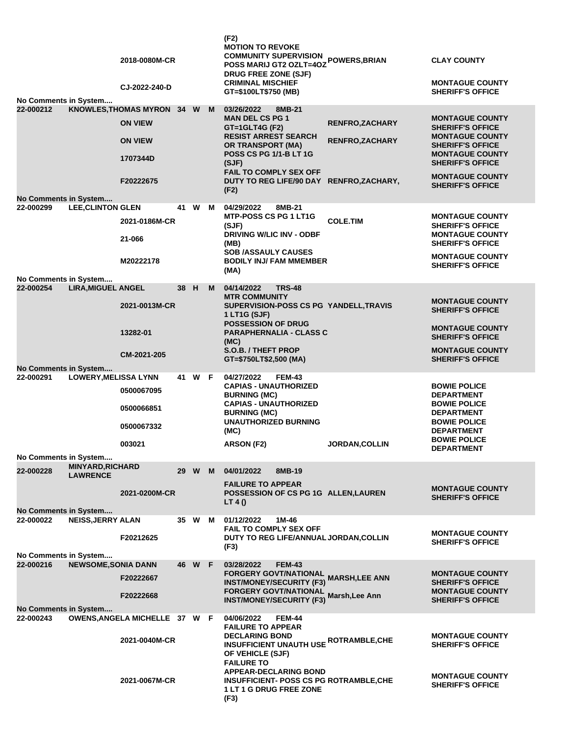| No Comments in System              |                                            | 2018-0080M-CR<br>CJ-2022-240-D |      |        |   | (F2)<br><b>MOTION TO REVOKE</b><br><b>COMMUNITY SUPERVISION</b><br><b>POSS MARIJ GT2 OZLT=40Z</b><br>DRUG FREE ZONE (SJF)<br><b>CRIMINAL MISCHIEF</b><br>GT=\$100LT\$750 (MB) | POWERS, BRIAN          | <b>CLAY COUNTY</b><br><b>MONTAGUE COUNTY</b><br><b>SHERIFF'S OFFICE</b> |
|------------------------------------|--------------------------------------------|--------------------------------|------|--------|---|-------------------------------------------------------------------------------------------------------------------------------------------------------------------------------|------------------------|-------------------------------------------------------------------------|
| 22-000212                          |                                            | KNOWLES, THOMAS MYRON 34 W     |      |        | M | 03/26/2022<br>8MB-21                                                                                                                                                          |                        |                                                                         |
|                                    |                                            | <b>ON VIEW</b>                 |      |        |   | <b>MAN DEL CS PG 1</b>                                                                                                                                                        | <b>RENFRO, ZACHARY</b> | <b>MONTAGUE COUNTY</b>                                                  |
|                                    |                                            |                                |      |        |   | GT=1GLT4G (F2)<br><b>RESIST ARREST SEARCH</b>                                                                                                                                 |                        | <b>SHERIFF'S OFFICE</b><br><b>MONTAGUE COUNTY</b>                       |
|                                    |                                            | <b>ON VIEW</b>                 |      |        |   | <b>OR TRANSPORT (MA)</b><br><b>POSS CS PG 1/1-B LT 1G</b>                                                                                                                     | <b>RENFRO, ZACHARY</b> | <b>SHERIFF'S OFFICE</b><br><b>MONTAGUE COUNTY</b>                       |
|                                    |                                            | 1707344D                       |      |        |   | (SJF)<br><b>FAIL TO COMPLY SEX OFF</b>                                                                                                                                        |                        | <b>SHERIFF'S OFFICE</b>                                                 |
|                                    |                                            | F20222675                      |      |        |   | DUTY TO REG LIFE/90 DAY RENFRO, ZACHARY,                                                                                                                                      |                        | <b>MONTAGUE COUNTY</b><br><b>SHERIFF'S OFFICE</b>                       |
| <b>No Comments in System</b>       |                                            |                                |      |        |   | (F2)                                                                                                                                                                          |                        |                                                                         |
| 22-000299                          | <b>LEE, CLINTON GLEN</b>                   |                                |      | 41 W   | M | 04/29/2022<br>8MB-21                                                                                                                                                          |                        |                                                                         |
|                                    |                                            | 2021-0186M-CR                  |      |        |   | <b>MTP-POSS CS PG 1 LT1G</b><br>(SJF)                                                                                                                                         | <b>COLE.TIM</b>        | <b>MONTAGUE COUNTY</b><br><b>SHERIFF'S OFFICE</b>                       |
|                                    |                                            | 21-066                         |      |        |   | <b>DRIVING W/LIC INV - ODBF</b><br>(MB)                                                                                                                                       |                        | <b>MONTAGUE COUNTY</b><br><b>SHERIFF'S OFFICE</b>                       |
|                                    |                                            |                                |      |        |   | <b>SOB /ASSAULY CAUSES</b>                                                                                                                                                    |                        | <b>MONTAGUE COUNTY</b>                                                  |
|                                    |                                            | M20222178                      |      |        |   | <b>BODILY INJ/FAM MMEMBER</b><br>(MA)                                                                                                                                         |                        | <b>SHERIFF'S OFFICE</b>                                                 |
| No Comments in System              |                                            |                                |      |        |   |                                                                                                                                                                               |                        |                                                                         |
| 22-000254                          | <b>LIRA, MIGUEL ANGEL</b>                  |                                | 38 H |        | M | 04/14/2022<br><b>TRS-48</b>                                                                                                                                                   |                        |                                                                         |
|                                    |                                            | 2021-0013M-CR                  |      |        |   | <b>MTR COMMUNITY</b><br>SUPERVISION-POSS CS PG YANDELL, TRAVIS<br>1 LT1G (SJF)                                                                                                |                        | <b>MONTAGUE COUNTY</b><br><b>SHERIFF'S OFFICE</b>                       |
|                                    |                                            |                                |      |        |   | <b>POSSESSION OF DRUG</b>                                                                                                                                                     |                        | <b>MONTAGUE COUNTY</b>                                                  |
|                                    |                                            | 13282-01                       |      |        |   | <b>PARAPHERNALIA - CLASS C</b><br>(MC)                                                                                                                                        |                        | <b>SHERIFF'S OFFICE</b>                                                 |
|                                    |                                            | CM-2021-205                    |      |        |   | S.O.B. / THEFT PROP                                                                                                                                                           |                        | <b>MONTAGUE COUNTY</b><br><b>SHERIFF'S OFFICE</b>                       |
| No Comments in System              |                                            |                                |      |        |   | GT=\$750LT\$2,500 (MA)                                                                                                                                                        |                        |                                                                         |
| 22-000291                          |                                            |                                |      |        |   |                                                                                                                                                                               |                        |                                                                         |
|                                    |                                            | <b>LOWERY, MELISSA LYNN</b>    |      | 41 W F |   | 04/27/2022<br><b>FEM-43</b>                                                                                                                                                   |                        |                                                                         |
|                                    |                                            | 0500067095                     |      |        |   | <b>CAPIAS - UNAUTHORIZED</b><br><b>BURNING (MC)</b>                                                                                                                           |                        | <b>BOWIE POLICE</b><br><b>DEPARTMENT</b>                                |
|                                    |                                            | 0500066851                     |      |        |   | <b>CAPIAS - UNAUTHORIZED</b><br><b>BURNING (MC)</b>                                                                                                                           |                        | <b>BOWIE POLICE</b><br><b>DEPARTMENT</b>                                |
|                                    |                                            | 0500067332                     |      |        |   | <b>UNAUTHORIZED BURNING</b><br>(MC)                                                                                                                                           |                        | <b>BOWIE POLICE</b><br><b>DEPARTMENT</b>                                |
|                                    |                                            | 003021                         |      |        |   | ARSON (F2)                                                                                                                                                                    | <b>JORDAN, COLLIN</b>  | <b>BOWIE POLICE</b><br><b>DEPARTMENT</b>                                |
| No Comments in System              |                                            |                                |      |        |   |                                                                                                                                                                               |                        |                                                                         |
| 22-000228                          | <b>MINYARD, RICHARD</b><br><b>LAWRENCE</b> |                                |      | 29 W   | M | 04/01/2022<br>8MB-19                                                                                                                                                          |                        |                                                                         |
|                                    |                                            |                                |      |        |   | <b>FAILURE TO APPEAR</b>                                                                                                                                                      |                        | <b>MONTAGUE COUNTY</b>                                                  |
|                                    |                                            | 2021-0200M-CR                  |      |        |   | POSSESSION OF CS PG 1G ALLEN, LAUREN<br>LT 4()                                                                                                                                |                        | <b>SHERIFF'S OFFICE</b>                                                 |
| No Comments in System              |                                            |                                |      |        |   |                                                                                                                                                                               |                        |                                                                         |
| 22-000022                          | <b>NEISS, JERRY ALAN</b>                   |                                |      | 35 W M |   | 01/12/2022<br>1M-46<br><b>FAIL TO COMPLY SEX OFF</b>                                                                                                                          |                        |                                                                         |
|                                    |                                            | F20212625                      |      |        |   | DUTY TO REG LIFE/ANNUAL JORDAN, COLLIN                                                                                                                                        |                        | <b>MONTAGUE COUNTY</b>                                                  |
|                                    |                                            |                                |      |        |   | (F3)                                                                                                                                                                          |                        | <b>SHERIFF'S OFFICE</b>                                                 |
| No Comments in System<br>22-000216 |                                            |                                |      | 46 W F |   | 03/28/2022<br><b>FEM-43</b>                                                                                                                                                   |                        |                                                                         |
|                                    | <b>NEWSOME, SONIA DANN</b>                 | F20222667                      |      |        |   | <b>FORGERY GOVT/NATIONAL</b>                                                                                                                                                  |                        | <b>MONTAGUE COUNTY</b>                                                  |
|                                    |                                            |                                |      |        |   | <b>INST/MONEY/SECURITY (F3)</b>                                                                                                                                               | <b>MARSH, LEE ANN</b>  | <b>SHERIFF'S OFFICE</b>                                                 |
|                                    |                                            | F20222668                      |      |        |   | <b>FORGERY GOVT/NATIONAL</b><br><b>INST/MONEY/SECURITY (F3)</b>                                                                                                               | Marsh, Lee Ann         | <b>MONTAGUE COUNTY</b><br><b>SHERIFF'S OFFICE</b>                       |
| <b>No Comments in System</b>       |                                            |                                |      |        |   |                                                                                                                                                                               |                        |                                                                         |
| 22-000243                          |                                            | OWENS, ANGELA MICHELLE 37 W F  |      |        |   | 04/06/2022<br><b>FEM-44</b><br><b>FAILURE TO APPEAR</b>                                                                                                                       |                        |                                                                         |
|                                    |                                            | 2021-0040M-CR                  |      |        |   | <b>DECLARING BOND</b>                                                                                                                                                         |                        | <b>MONTAGUE COUNTY</b>                                                  |
|                                    |                                            |                                |      |        |   | <b>INSUFFICIENT UNAUTH USE ROTRAMBLE, CHE</b>                                                                                                                                 |                        | <b>SHERIFF'S OFFICE</b>                                                 |
|                                    |                                            |                                |      |        |   | OF VEHICLE (SJF)<br><b>FAILURE TO</b>                                                                                                                                         |                        |                                                                         |
|                                    |                                            |                                |      |        |   | <b>APPEAR-DECLARING BOND</b>                                                                                                                                                  |                        | <b>MONTAGUE COUNTY</b>                                                  |
|                                    |                                            | 2021-0067M-CR                  |      |        |   | <b>INSUFFICIENT- POSS CS PG ROTRAMBLE,CHE</b><br><b>1 LT 1 G DRUG FREE ZONE</b>                                                                                               |                        | <b>SHERIFF'S OFFICE</b>                                                 |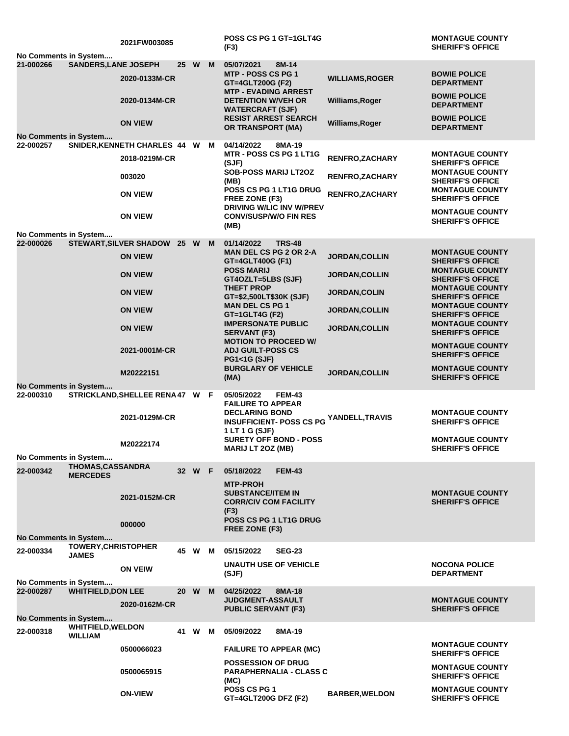| No Comments in System              |                                            | 2021FW003085                    |      |        |   | POSS CS PG 1 GT=1GLT4G<br>(F3)                                                      |                        | <b>MONTAGUE COUNTY</b><br><b>SHERIFF'S OFFICE</b> |
|------------------------------------|--------------------------------------------|---------------------------------|------|--------|---|-------------------------------------------------------------------------------------|------------------------|---------------------------------------------------|
| 21-000266                          | <b>SANDERS, LANE JOSEPH</b>                |                                 | 25 W |        | M | 05/07/2021<br>8M-14                                                                 |                        |                                                   |
|                                    |                                            | 2020-0133M-CR                   |      |        |   | MTP - POSS CS PG 1<br>GT=4GLT200G (F2)                                              | <b>WILLIAMS, ROGER</b> | <b>BOWIE POLICE</b><br><b>DEPARTMENT</b>          |
|                                    |                                            | 2020-0134M-CR                   |      |        |   | <b>MTP - EVADING ARREST</b><br><b>DETENTION W/VEH OR</b><br><b>WATERCRAFT (SJF)</b> | Williams, Roger        | <b>BOWIE POLICE</b><br><b>DEPARTMENT</b>          |
|                                    |                                            | <b>ON VIEW</b>                  |      |        |   | <b>RESIST ARREST SEARCH</b><br><b>OR TRANSPORT (MA)</b>                             | Williams, Roger        | <b>BOWIE POLICE</b><br><b>DEPARTMENT</b>          |
| No Comments in System              |                                            |                                 |      |        |   |                                                                                     |                        |                                                   |
| 22-000257                          |                                            | SNIDER, KENNETH CHARLES 44 W    |      |        | M | 04/14/2022<br>8MA-19                                                                |                        |                                                   |
|                                    |                                            | 2018-0219M-CR                   |      |        |   | <b>MTR - POSS CS PG 1 LT1G</b><br>(SJF)                                             | RENFRO, ZACHARY        | <b>MONTAGUE COUNTY</b><br><b>SHERIFF'S OFFICE</b> |
|                                    |                                            | 003020                          |      |        |   | <b>SOB-POSS MARIJ LT2OZ</b><br>(MB)                                                 | <b>RENFRO, ZACHARY</b> | <b>MONTAGUE COUNTY</b><br><b>SHERIFF'S OFFICE</b> |
|                                    |                                            | <b>ON VIEW</b>                  |      |        |   | POSS CS PG 1 LT1G DRUG<br>FREE ZONE (F3)<br>DRIVING W/LIC INV W/PREV                | <b>RENFRO, ZACHARY</b> | <b>MONTAGUE COUNTY</b><br><b>SHERIFF'S OFFICE</b> |
|                                    |                                            | <b>ON VIEW</b>                  |      |        |   | <b>CONV/SUSP/W/O FIN RES</b><br>(MB)                                                |                        | <b>MONTAGUE COUNTY</b><br><b>SHERIFF'S OFFICE</b> |
| No Comments in System              |                                            |                                 |      |        |   |                                                                                     |                        |                                                   |
| 22-000026                          |                                            | STEWART, SILVER SHADOW 25 W     |      |        | M | 01/14/2022<br><b>TRS-48</b>                                                         |                        |                                                   |
|                                    |                                            | <b>ON VIEW</b>                  |      |        |   | <b>MAN DEL CS PG 2 OR 2-A</b><br>GT=4GLT400G (F1)                                   | JORDAN, COLLIN         | <b>MONTAGUE COUNTY</b><br><b>SHERIFF'S OFFICE</b> |
|                                    |                                            | <b>ON VIEW</b>                  |      |        |   | <b>POSS MARIJ</b><br>GT4OZLT=5LBS (SJF)<br><b>THEFT PROP</b>                        | <b>JORDAN, COLLIN</b>  | <b>MONTAGUE COUNTY</b><br><b>SHERIFF'S OFFICE</b> |
|                                    |                                            | <b>ON VIEW</b>                  |      |        |   | GT=\$2,500LT\$30K (SJF)                                                             | JORDAN, COLIN          | <b>MONTAGUE COUNTY</b><br><b>SHERIFF'S OFFICE</b> |
|                                    |                                            | <b>ON VIEW</b>                  |      |        |   | <b>MAN DEL CS PG 1</b><br>$GT = 1$ GLT4G (F2)                                       | <b>JORDAN, COLLIN</b>  | <b>MONTAGUE COUNTY</b><br><b>SHERIFF'S OFFICE</b> |
|                                    |                                            | <b>ON VIEW</b>                  |      |        |   | <b>IMPERSONATE PUBLIC</b><br><b>SERVANT (F3)</b><br><b>MOTION TO PROCEED W/</b>     | <b>JORDAN, COLLIN</b>  | <b>MONTAGUE COUNTY</b><br><b>SHERIFF'S OFFICE</b> |
|                                    |                                            | 2021-0001M-CR                   |      |        |   | <b>ADJ GUILT-POSS CS</b><br><b>PG1&lt;1G (SJF)</b>                                  |                        | <b>MONTAGUE COUNTY</b><br><b>SHERIFF'S OFFICE</b> |
|                                    |                                            | M20222151                       |      |        |   | <b>BURGLARY OF VEHICLE</b><br>(MA)                                                  | <b>JORDAN, COLLIN</b>  | <b>MONTAGUE COUNTY</b><br><b>SHERIFF'S OFFICE</b> |
| No Comments in System<br>22-000310 |                                            | STRICKLAND, SHELLEE RENA 47 W F |      |        |   | 05/05/2022<br><b>FEM-43</b><br><b>FAILURE TO APPEAR</b>                             |                        |                                                   |
|                                    |                                            | 2021-0129M-CR                   |      |        |   | <b>DECLARING BOND</b><br><b>INSUFFICIENT- POSS CS PG</b><br>1 LT 1 G (SJF)          | YANDELL,TRAVIS         | <b>MONTAGUE COUNTY</b><br><b>SHERIFF'S OFFICE</b> |
|                                    |                                            | M20222174                       |      |        |   | <b>SURETY OFF BOND - POSS</b><br><b>MARIJ LT 20Z (MB)</b>                           |                        | <b>MONTAGUE COUNTY</b><br><b>SHERIFF'S OFFICE</b> |
| No Comments in System              |                                            |                                 |      |        |   |                                                                                     |                        |                                                   |
| 22-000342                          | THOMAS, CASSANDRA<br><b>MERCEDES</b>       |                                 |      | 32 W F |   | <b>FEM-43</b><br>05/18/2022<br><b>MTP-PROH</b>                                      |                        |                                                   |
|                                    |                                            | 2021-0152M-CR                   |      |        |   | <b>SUBSTANCE/ITEM IN</b><br><b>CORR/CIV COM FACILITY</b><br>(F3)                    |                        | <b>MONTAGUE COUNTY</b><br><b>SHERIFF'S OFFICE</b> |
|                                    |                                            |                                 |      |        |   | POSS CS PG 1 LT1G DRUG                                                              |                        |                                                   |
|                                    |                                            | 000000                          |      |        |   | FREE ZONE (F3)                                                                      |                        |                                                   |
| No Comments in System              |                                            |                                 |      |        |   |                                                                                     |                        |                                                   |
| 22-000334                          | <b>TOWERY, CHRISTOPHER</b><br><b>JAMES</b> |                                 | 45 W |        | M | 05/15/2022<br><b>SEG-23</b>                                                         |                        |                                                   |
|                                    |                                            | <b>ON VEIW</b>                  |      |        |   | <b>UNAUTH USE OF VEHICLE</b><br>(SJF)                                               |                        | <b>NOCONA POLICE</b><br><b>DEPARTMENT</b>         |
| No Comments in System              |                                            |                                 | 20 W |        |   |                                                                                     |                        |                                                   |
| 22-000287                          | <b>WHITFIELD, DON LEE</b>                  | 2020-0162M-CR                   |      |        | M | 04/25/2022<br>8MA-18<br><b>JUDGMENT-ASSAULT</b><br><b>PUBLIC SERVANT (F3)</b>       |                        | <b>MONTAGUE COUNTY</b><br><b>SHERIFF'S OFFICE</b> |
| No Comments in System              |                                            |                                 |      |        |   |                                                                                     |                        |                                                   |
| 22-000318                          | <b>WHITFIELD, WELDON</b><br>WILLIAM        |                                 | 41   | W      | M | 05/09/2022<br>8MA-19                                                                |                        |                                                   |
|                                    |                                            | 0500066023                      |      |        |   | <b>FAILURE TO APPEAR (MC)</b>                                                       |                        | <b>MONTAGUE COUNTY</b><br><b>SHERIFF'S OFFICE</b> |
|                                    |                                            | 0500065915                      |      |        |   | <b>POSSESSION OF DRUG</b><br><b>PARAPHERNALIA - CLASS C</b><br>(MC)                 |                        | <b>MONTAGUE COUNTY</b><br><b>SHERIFF'S OFFICE</b> |
|                                    |                                            | <b>ON-VIEW</b>                  |      |        |   | POSS CS PG 1<br>GT=4GLT200G DFZ (F2)                                                | <b>BARBER, WELDON</b>  | <b>MONTAGUE COUNTY</b><br><b>SHERIFF'S OFFICE</b> |